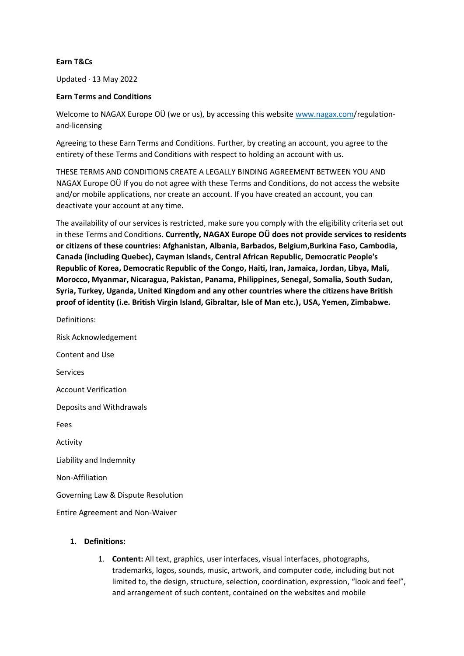#### **Earn T&Cs**

Updated · 13 May 2022

#### **Earn Terms and Conditions**

Welcome to NAGAX Europe OÜ (we or us), by accessing this website [www.nagax.com/](http://www.nagax.com/)regulationand-licensing

Agreeing to these Earn Terms and Conditions. Further, by creating an account, you agree to the entirety of these Terms and Conditions with respect to holding an account with us.

THESE TERMS AND CONDITIONS CREATE A LEGALLY BINDING AGREEMENT BETWEEN YOU AND NAGAX Europe OÜ If you do not agree with these Terms and Conditions, do not access the website and/or mobile applications, nor create an account. If you have created an account, you can deactivate your account at any time.

The availability of our services is restricted, make sure you comply with the eligibility criteria set out in these Terms and Conditions. **Currently, NAGAX Europe OÜ does not provide services to residents or citizens of these countries: Afghanistan, Albania, Barbados, Belgium,Burkina Faso, Cambodia, Canada (including Quebec), Cayman Islands, Central African Republic, Democratic People's Republic of Korea, Democratic Republic of the Congo, Haiti, Iran, Jamaica, Jordan, Libya, Mali, Morocco, Myanmar, Nicaragua, Pakistan, Panama, Philippines, Senegal, Somalia, South Sudan, Syria, Turkey, Uganda, United Kingdom and any other countries where the citizens have British proof of identity (i.e. British Virgin Island, Gibraltar, Isle of Man etc.), USA, Yemen, Zimbabwe.**

Definitions: Risk Acknowledgement Content and Use Services Account Verification Deposits and Withdrawals Fees Activity Liability and Indemnity Non-Affiliation Governing Law & Dispute Resolution Entire Agreement and Non-Waiver

# **1. Definitions:**

1. **Content:** All text, graphics, user interfaces, visual interfaces, photographs, trademarks, logos, sounds, music, artwork, and computer code, including but not limited to, the design, structure, selection, coordination, expression, "look and feel", and arrangement of such content, contained on the websites and mobile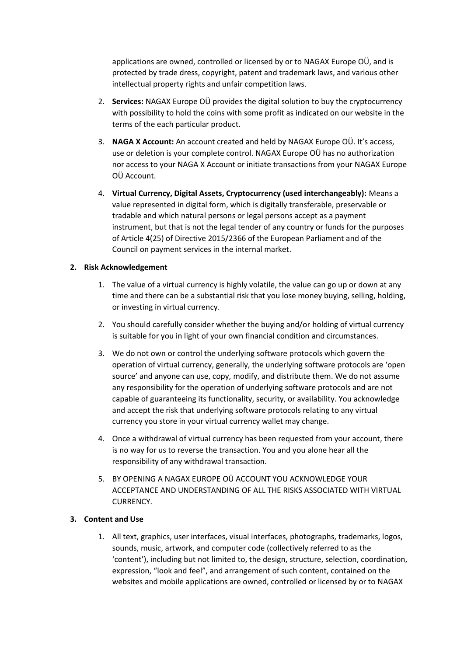applications are owned, controlled or licensed by or to NAGAX Europe OÜ, and is protected by trade dress, copyright, patent and trademark laws, and various other intellectual property rights and unfair competition laws.

- 2. **Services:** NAGAX Europe OÜ provides the digital solution to buy the cryptocurrency with possibility to hold the coins with some profit as indicated on our website in the terms of the each particular product.
- 3. **NAGA X Account:** An account created and held by NAGAX Europe OÜ. It's access, use or deletion is your complete control. NAGAX Europe OÜ has no authorization nor access to your NAGA X Account or initiate transactions from your NAGAX Europe OÜ Account.
- 4. **Virtual Currency, Digital Assets, Cryptocurrency (used interchangeably):** Means a value represented in digital form, which is digitally transferable, preservable or tradable and which natural persons or legal persons accept as a payment instrument, but that is not the legal tender of any country or funds for the purposes of Article 4(25) of Directive 2015/2366 of the European Parliament and of the Council on payment services in the internal market.

## **2. Risk Acknowledgement**

- 1. The value of a virtual currency is highly volatile, the value can go up or down at any time and there can be a substantial risk that you lose money buying, selling, holding, or investing in virtual currency.
- 2. You should carefully consider whether the buying and/or holding of virtual currency is suitable for you in light of your own financial condition and circumstances.
- 3. We do not own or control the underlying software protocols which govern the operation of virtual currency, generally, the underlying software protocols are 'open source' and anyone can use, copy, modify, and distribute them. We do not assume any responsibility for the operation of underlying software protocols and are not capable of guaranteeing its functionality, security, or availability. You acknowledge and accept the risk that underlying software protocols relating to any virtual currency you store in your virtual currency wallet may change.
- 4. Once a withdrawal of virtual currency has been requested from your account, there is no way for us to reverse the transaction. You and you alone hear all the responsibility of any withdrawal transaction.
- 5. BY OPENING A NAGAX EUROPE OÜ ACCOUNT YOU ACKNOWLEDGE YOUR ACCEPTANCE AND UNDERSTANDING OF ALL THE RISKS ASSOCIATED WITH VIRTUAL CURRENCY.

#### **3. Content and Use**

1. All text, graphics, user interfaces, visual interfaces, photographs, trademarks, logos, sounds, music, artwork, and computer code (collectively referred to as the 'content'), including but not limited to, the design, structure, selection, coordination, expression, "look and feel", and arrangement of such content, contained on the websites and mobile applications are owned, controlled or licensed by or to NAGAX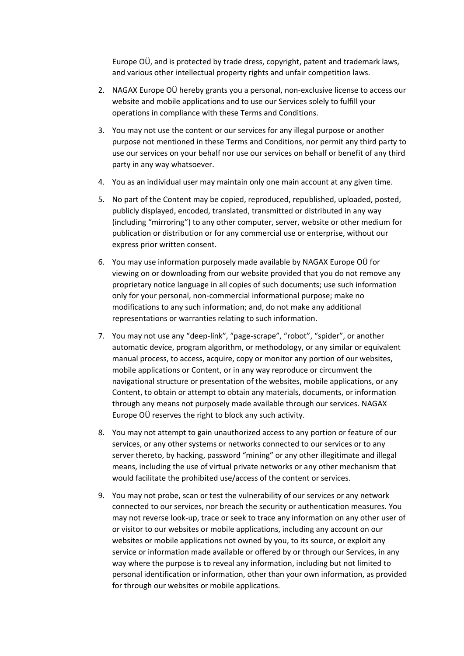Europe OÜ, and is protected by trade dress, copyright, patent and trademark laws, and various other intellectual property rights and unfair competition laws.

- 2. NAGAX Europe OÜ hereby grants you a personal, non-exclusive license to access our website and mobile applications and to use our Services solely to fulfill your operations in compliance with these Terms and Conditions.
- 3. You may not use the content or our services for any illegal purpose or another purpose not mentioned in these Terms and Conditions, nor permit any third party to use our services on your behalf nor use our services on behalf or benefit of any third party in any way whatsoever.
- 4. You as an individual user may maintain only one main account at any given time.
- 5. No part of the Content may be copied, reproduced, republished, uploaded, posted, publicly displayed, encoded, translated, transmitted or distributed in any way (including "mirroring") to any other computer, server, website or other medium for publication or distribution or for any commercial use or enterprise, without our express prior written consent.
- 6. You may use information purposely made available by NAGAX Europe OÜ for viewing on or downloading from our website provided that you do not remove any proprietary notice language in all copies of such documents; use such information only for your personal, non-commercial informational purpose; make no modifications to any such information; and, do not make any additional representations or warranties relating to such information.
- 7. You may not use any "deep-link", "page-scrape", "robot", "spider", or another automatic device, program algorithm, or methodology, or any similar or equivalent manual process, to access, acquire, copy or monitor any portion of our websites, mobile applications or Content, or in any way reproduce or circumvent the navigational structure or presentation of the websites, mobile applications, or any Content, to obtain or attempt to obtain any materials, documents, or information through any means not purposely made available through our services. NAGAX Europe OÜ reserves the right to block any such activity.
- 8. You may not attempt to gain unauthorized access to any portion or feature of our services, or any other systems or networks connected to our services or to any server thereto, by hacking, password "mining" or any other illegitimate and illegal means, including the use of virtual private networks or any other mechanism that would facilitate the prohibited use/access of the content or services.
- 9. You may not probe, scan or test the vulnerability of our services or any network connected to our services, nor breach the security or authentication measures. You may not reverse look-up, trace or seek to trace any information on any other user of or visitor to our websites or mobile applications, including any account on our websites or mobile applications not owned by you, to its source, or exploit any service or information made available or offered by or through our Services, in any way where the purpose is to reveal any information, including but not limited to personal identification or information, other than your own information, as provided for through our websites or mobile applications.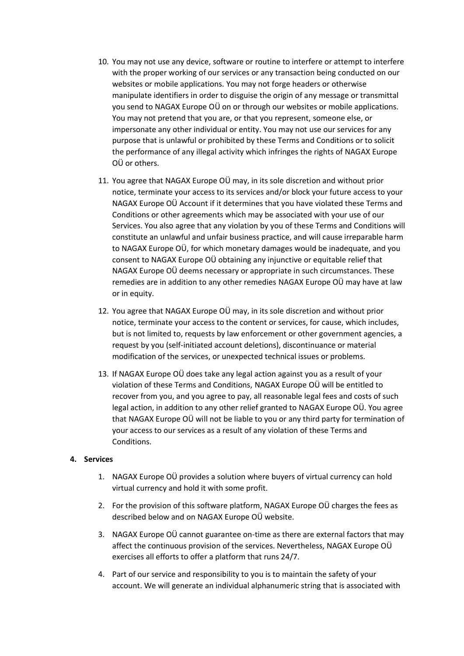- 10. You may not use any device, software or routine to interfere or attempt to interfere with the proper working of our services or any transaction being conducted on our websites or mobile applications. You may not forge headers or otherwise manipulate identifiers in order to disguise the origin of any message or transmittal you send to NAGAX Europe OÜ on or through our websites or mobile applications. You may not pretend that you are, or that you represent, someone else, or impersonate any other individual or entity. You may not use our services for any purpose that is unlawful or prohibited by these Terms and Conditions or to solicit the performance of any illegal activity which infringes the rights of NAGAX Europe OÜ or others.
- 11. You agree that NAGAX Europe OÜ may, in its sole discretion and without prior notice, terminate your access to its services and/or block your future access to your NAGAX Europe OÜ Account if it determines that you have violated these Terms and Conditions or other agreements which may be associated with your use of our Services. You also agree that any violation by you of these Terms and Conditions will constitute an unlawful and unfair business practice, and will cause irreparable harm to NAGAX Europe OÜ, for which monetary damages would be inadequate, and you consent to NAGAX Europe OÜ obtaining any injunctive or equitable relief that NAGAX Europe OÜ deems necessary or appropriate in such circumstances. These remedies are in addition to any other remedies NAGAX Europe OÜ may have at law or in equity.
- 12. You agree that NAGAX Europe OÜ may, in its sole discretion and without prior notice, terminate your access to the content or services, for cause, which includes, but is not limited to, requests by law enforcement or other government agencies, a request by you (self-initiated account deletions), discontinuance or material modification of the services, or unexpected technical issues or problems.
- 13. If NAGAX Europe OÜ does take any legal action against you as a result of your violation of these Terms and Conditions, NAGAX Europe OÜ will be entitled to recover from you, and you agree to pay, all reasonable legal fees and costs of such legal action, in addition to any other relief granted to NAGAX Europe OÜ. You agree that NAGAX Europe OÜ will not be liable to you or any third party for termination of your access to our services as a result of any violation of these Terms and Conditions.

#### **4. Services**

- 1. NAGAX Europe OÜ provides a solution where buyers of virtual currency can hold virtual currency and hold it with some profit.
- 2. For the provision of this software platform, NAGAX Europe OÜ charges the fees as described below and on NAGAX Europe OÜ website.
- 3. NAGAX Europe OÜ cannot guarantee on-time as there are external factors that may affect the continuous provision of the services. Nevertheless, NAGAX Europe OÜ exercises all efforts to offer a platform that runs 24/7.
- 4. Part of our service and responsibility to you is to maintain the safety of your account. We will generate an individual alphanumeric string that is associated with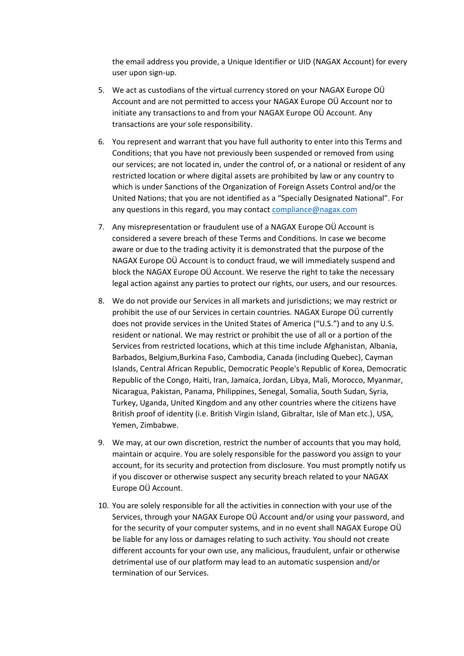the email address you provide, a Unique Identifier or UID (NAGAX Account) for every user upon sign-up.

- 5. We act as custodians of the virtual currency stored on your NAGAX Europe OÜ Account and are not permitted to access your NAGAX Europe OÜ Account nor to initiate any transactions to and from your NAGAX Europe OÜ Account. Any transactions are your sole responsibility.
- 6. You represent and warrant that you have full authority to enter into this Terms and Conditions; that you have not previously been suspended or removed from using our services; are not located in, under the control of, or a national or resident of any restricted location or where digital assets are prohibited by law or any country to which is under Sanctions of the Organization of Foreign Assets Control and/or the United Nations; that you are not identified as a "Specially Designated National". For any questions in this regard, you may contact [compliance@nagax.com](mailto:compliance@nagax.com)
- 7. Any misrepresentation or fraudulent use of a NAGAX Europe OÜ Account is considered a severe breach of these Terms and Conditions. In case we become aware or due to the trading activity it is demonstrated that the purpose of the NAGAX Europe OÜ Account is to conduct fraud, we will immediately suspend and block the NAGAX Europe OÜ Account. We reserve the right to take the necessary legal action against any parties to protect our rights, our users, and our resources.
- 8. We do not provide our Services in all markets and jurisdictions; we may restrict or prohibit the use of our Services in certain countries. NAGAX Europe OÜ currently does not provide services in the United States of America ("U.S.") and to any U.S. resident or national. We may restrict or prohibit the use of all or a portion of the Services from restricted locations, which at this time include Afghanistan, Albania, Barbados, Belgium,Burkina Faso, Cambodia, Canada (including Quebec), Cayman Islands, Central African Republic, Democratic People's Republic of Korea, Democratic Republic of the Congo, Haiti, Iran, Jamaica, Jordan, Libya, Mali, Morocco, Myanmar, Nicaragua, Pakistan, Panama, Philippines, Senegal, Somalia, South Sudan, Syria, Turkey, Uganda, United Kingdom and any other countries where the citizens have British proof of identity (i.e. British Virgin Island, Gibraltar, Isle of Man etc.), USA, Yemen, Zimbabwe.
- 9. We may, at our own discretion, restrict the number of accounts that you may hold, maintain or acquire. You are solely responsible for the password you assign to your account, for its security and protection from disclosure. You must promptly notify us if you discover or otherwise suspect any security breach related to your NAGAX Europe OÜ Account.
- 10. You are solely responsible for all the activities in connection with your use of the Services, through your NAGAX Europe OÜ Account and/or using your password, and for the security of your computer systems, and in no event shall NAGAX Europe OÜ be liable for any loss or damages relating to such activity. You should not create different accounts for your own use, any malicious, fraudulent, unfair or otherwise detrimental use of our platform may lead to an automatic suspension and/or termination of our Services.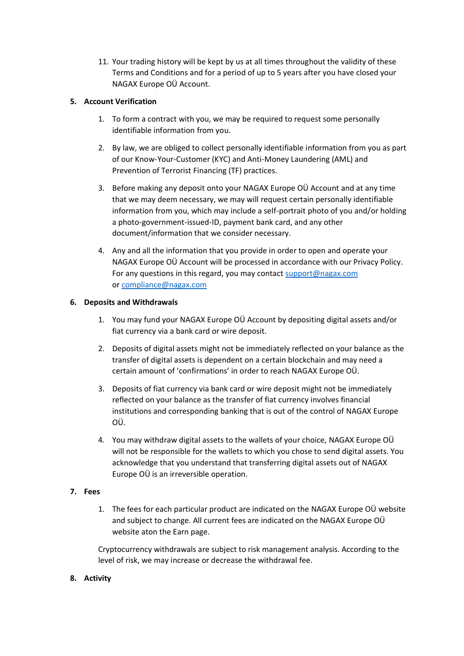11. Your trading history will be kept by us at all times throughout the validity of these Terms and Conditions and for a period of up to 5 years after you have closed your NAGAX Europe OÜ Account.

# **5. Account Verification**

- 1. To form a contract with you, we may be required to request some personally identifiable information from you.
- 2. By law, we are obliged to collect personally identifiable information from you as part of our Know-Your-Customer (KYC) and Anti-Money Laundering (AML) and Prevention of Terrorist Financing (TF) practices.
- 3. Before making any deposit onto your NAGAX Europe OÜ Account and at any time that we may deem necessary, we may will request certain personally identifiable information from you, which may include a self-portrait photo of you and/or holding a photo-government-issued-ID, payment bank card, and any other document/information that we consider necessary.
- 4. Any and all the information that you provide in order to open and operate your NAGAX Europe OÜ Account will be processed in accordance with our Privacy Policy. For any questions in this regard, you may contact [support@nagax.com](mailto:support@nagax.com) or [compliance@nagax.com](mailto:compliance@nagax.com)

## **6. Deposits and Withdrawals**

- 1. You may fund your NAGAX Europe OÜ Account by depositing digital assets and/or fiat currency via a bank card or wire deposit.
- 2. Deposits of digital assets might not be immediately reflected on your balance as the transfer of digital assets is dependent on a certain blockchain and may need a certain amount of 'confirmations' in order to reach NAGAX Europe OÜ.
- 3. Deposits of fiat currency via bank card or wire deposit might not be immediately reflected on your balance as the transfer of fiat currency involves financial institutions and corresponding banking that is out of the control of NAGAX Europe OÜ.
- 4. You may withdraw digital assets to the wallets of your choice, NAGAX Europe OÜ will not be responsible for the wallets to which you chose to send digital assets. You acknowledge that you understand that transferring digital assets out of NAGAX Europe OÜ is an irreversible operation.

# **7. Fees**

1. The fees for each particular product are indicated on the NAGAX Europe OÜ website and subject to change. All current fees are indicated on the NAGAX Europe OÜ website aton the Earn page.

Cryptocurrency withdrawals are subject to risk management analysis. According to the level of risk, we may increase or decrease the withdrawal fee.

# **8. Activity**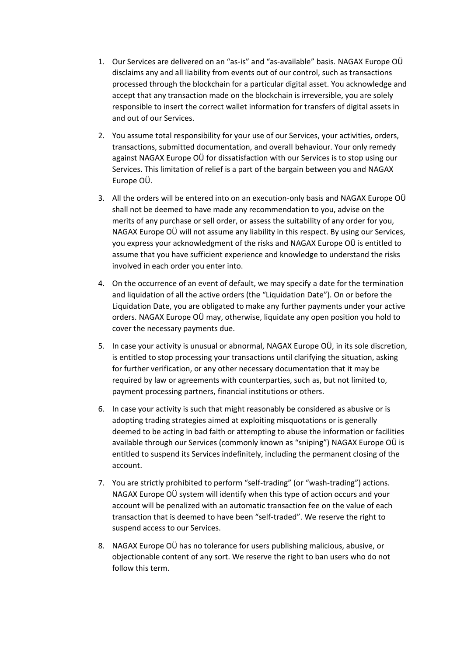- 1. Our Services are delivered on an "as-is" and "as-available" basis. NAGAX Europe OÜ disclaims any and all liability from events out of our control, such as transactions processed through the blockchain for a particular digital asset. You acknowledge and accept that any transaction made on the blockchain is irreversible, you are solely responsible to insert the correct wallet information for transfers of digital assets in and out of our Services.
- 2. You assume total responsibility for your use of our Services, your activities, orders, transactions, submitted documentation, and overall behaviour. Your only remedy against NAGAX Europe OÜ for dissatisfaction with our Services is to stop using our Services. This limitation of relief is a part of the bargain between you and NAGAX Europe OÜ.
- 3. All the orders will be entered into on an execution-only basis and NAGAX Europe OÜ shall not be deemed to have made any recommendation to you, advise on the merits of any purchase or sell order, or assess the suitability of any order for you, NAGAX Europe OÜ will not assume any liability in this respect. By using our Services, you express your acknowledgment of the risks and NAGAX Europe OÜ is entitled to assume that you have sufficient experience and knowledge to understand the risks involved in each order you enter into.
- 4. On the occurrence of an event of default, we may specify a date for the termination and liquidation of all the active orders (the "Liquidation Date"). On or before the Liquidation Date, you are obligated to make any further payments under your active orders. NAGAX Europe OÜ may, otherwise, liquidate any open position you hold to cover the necessary payments due.
- 5. In case your activity is unusual or abnormal, NAGAX Europe OÜ, in its sole discretion, is entitled to stop processing your transactions until clarifying the situation, asking for further verification, or any other necessary documentation that it may be required by law or agreements with counterparties, such as, but not limited to, payment processing partners, financial institutions or others.
- 6. In case your activity is such that might reasonably be considered as abusive or is adopting trading strategies aimed at exploiting misquotations or is generally deemed to be acting in bad faith or attempting to abuse the information or facilities available through our Services (commonly known as "sniping") NAGAX Europe OÜ is entitled to suspend its Services indefinitely, including the permanent closing of the account.
- 7. You are strictly prohibited to perform "self-trading" (or "wash-trading") actions. NAGAX Europe OÜ system will identify when this type of action occurs and your account will be penalized with an automatic transaction fee on the value of each transaction that is deemed to have been "self-traded". We reserve the right to suspend access to our Services.
- 8. NAGAX Europe OÜ has no tolerance for users publishing malicious, abusive, or objectionable content of any sort. We reserve the right to ban users who do not follow this term.